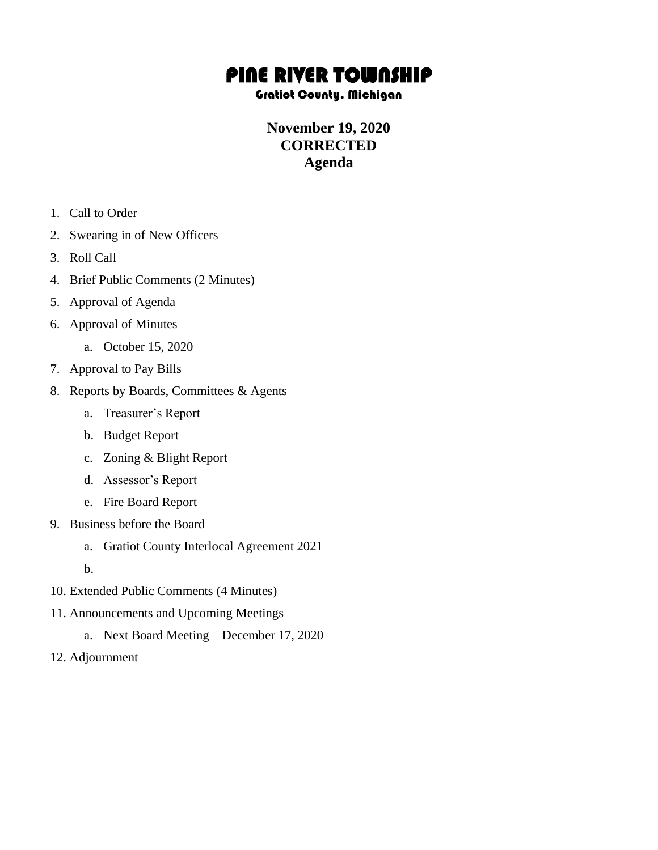# PINE RIVER TOWNSHIP

#### Gratiot County, Michigan

### **November 19, 2020 CORRECTED Agenda**

- 1. Call to Order
- 2. Swearing in of New Officers
- 3. Roll Call
- 4. Brief Public Comments (2 Minutes)
- 5. Approval of Agenda
- 6. Approval of Minutes
	- a. October 15, 2020
- 7. Approval to Pay Bills
- 8. Reports by Boards, Committees & Agents
	- a. Treasurer's Report
	- b. Budget Report
	- c. Zoning & Blight Report
	- d. Assessor's Report
	- e. Fire Board Report
- 9. Business before the Board
	- a. Gratiot County Interlocal Agreement 2021
	- b.
- 10. Extended Public Comments (4 Minutes)
- 11. Announcements and Upcoming Meetings
	- a. Next Board Meeting December 17, 2020
- 12. Adjournment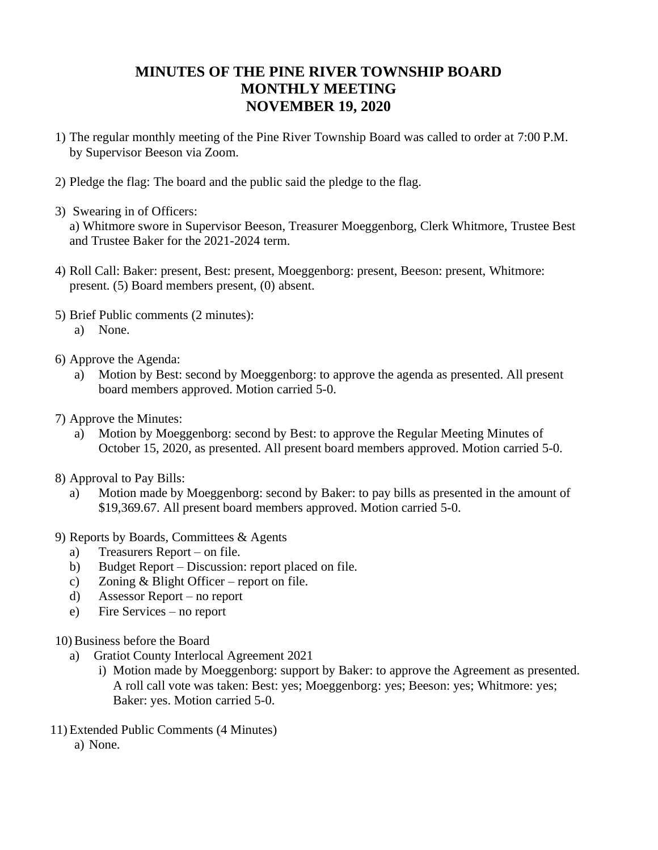## **MINUTES OF THE PINE RIVER TOWNSHIP BOARD MONTHLY MEETING NOVEMBER 19, 2020**

- 1) The regular monthly meeting of the Pine River Township Board was called to order at 7:00 P.M. by Supervisor Beeson via Zoom.
- 2) Pledge the flag: The board and the public said the pledge to the flag.
- 3) Swearing in of Officers:

a) Whitmore swore in Supervisor Beeson, Treasurer Moeggenborg, Clerk Whitmore, Trustee Best and Trustee Baker for the 2021-2024 term.

- 4) Roll Call: Baker: present, Best: present, Moeggenborg: present, Beeson: present, Whitmore: present. (5) Board members present, (0) absent.
- 5) Brief Public comments (2 minutes):
	- a) None.
- 6) Approve the Agenda:
	- a) Motion by Best: second by Moeggenborg: to approve the agenda as presented. All present board members approved. Motion carried 5-0.
- 7) Approve the Minutes:
	- a) Motion by Moeggenborg: second by Best: to approve the Regular Meeting Minutes of October 15, 2020, as presented. All present board members approved. Motion carried 5-0.
- 8) Approval to Pay Bills:
	- a) Motion made by Moeggenborg: second by Baker: to pay bills as presented in the amount of \$19,369.67. All present board members approved. Motion carried 5-0.
- 9) Reports by Boards, Committees & Agents
	- a) Treasurers Report on file.
	- b) Budget Report Discussion: report placed on file.
	- c) Zoning & Blight Officer report on file.
	- d) Assessor Report no report
	- e) Fire Services no report
- 10) Business before the Board
	- a) Gratiot County Interlocal Agreement 2021
		- i) Motion made by Moeggenborg: support by Baker: to approve the Agreement as presented. A roll call vote was taken: Best: yes; Moeggenborg: yes; Beeson: yes; Whitmore: yes; Baker: yes. Motion carried 5-0.
- 11) Extended Public Comments (4 Minutes) a) None.